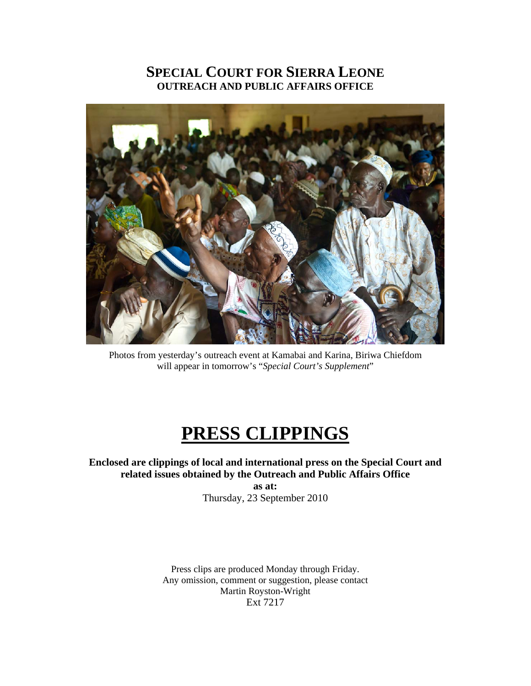#### **SPECIAL COURT FOR SIERRA LEONE OUTREACH AND PUBLIC AFFAIRS OFFICE**



Photos from yesterday's outreach event at Kamabai and Karina, Biriwa Chiefdom will appear in tomorrow's "*Special Court's Supplement*"

### **PRESS CLIPPINGS**

#### **Enclosed are clippings of local and international press on the Special Court and related issues obtained by the Outreach and Public Affairs Office**

**as at:**  Thursday, 23 September 2010

Press clips are produced Monday through Friday. Any omission, comment or suggestion, please contact Martin Royston-Wright Ext 7217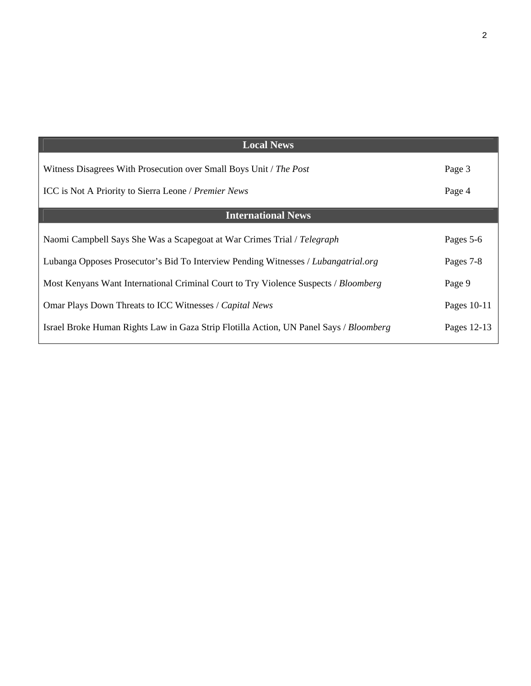| <b>Local News</b>                                                                      |             |
|----------------------------------------------------------------------------------------|-------------|
| Witness Disagrees With Prosecution over Small Boys Unit / The Post                     | Page 3      |
| ICC is Not A Priority to Sierra Leone / Premier News                                   | Page 4      |
| <b>International News</b>                                                              |             |
| Naomi Campbell Says She Was a Scapegoat at War Crimes Trial / Telegraph                | Pages 5-6   |
| Lubanga Opposes Prosecutor's Bid To Interview Pending Witnesses / Lubangatrial.org     | Pages 7-8   |
| Most Kenyans Want International Criminal Court to Try Violence Suspects / Bloomberg    | Page 9      |
| Omar Plays Down Threats to ICC Witnesses / Capital News                                | Pages 10-11 |
| Israel Broke Human Rights Law in Gaza Strip Flotilla Action, UN Panel Says / Bloomberg | Pages 12-13 |
|                                                                                        |             |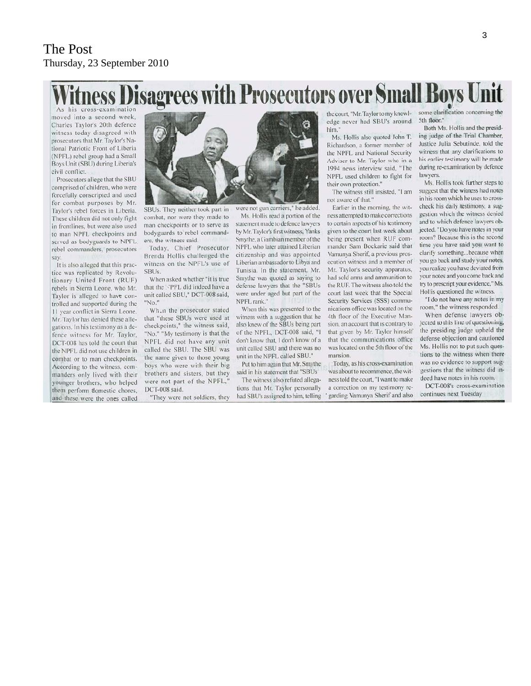## sagrees with Prosecutors over Small Boys Unit

As his cross-examination moved into a second week, Charles Taylor's 20th defence witness today disagreed with prosecutors that Mr. Taylor's National Patriotic Front of Liberia (NPFL) rebel group had a Small<br>Boys Unit (SBU) during Liberia's civil conflict.

Prosecutors allege that the SBU comprised of children, who were forcefully conscripted and used for combat purposes by Mr. Taylor's rebel forces in Liberia. These children did not only fight in frontlines, but were also used to man NPFL checkpoints and served as bodyguards to NPFL. rebel commanders, prosecutors say.

It is also alleged that this practice was replicated by Revolutionary United Front (RUF) rebels in Sierra Leone, who Mr. Taylor is alleged to have controlled and supported during the 11 year conflict in Sierra Leone. Mr. Taylor has denied these allegations. In his testimony as a defence witness for Mr. Taylor, DCT-008 has told the court that the NPFL did not use children in combat or to man checkpoints. According to the witness, commanders only lived with their younger brothers, who helped them perform domestic chores, and these were the ones called



SBUs. They neither took part in

combat, nor were they made to

man checkpoints or to serve as

bodyguards to rebel command-

Today, Chief Prosecutor

Brenda Hollis challenged the

witness on the NPFL's use of

When asked whether "it is true

that the NPFL did indeed have a

unit called SBU," DCT-008 said,

Wh.n the prosecutor stated

that "these SBUs were used at

checkpoints," the witness said.

"No." "My testimony is that the

NPFL did not have any unit

called the SBU. The SBU was

the name given to those young

boys who were with their big

brothers and sisters, but they

"They were not soldiers, they

were not part of the NPFL,

DCT-008 said.

ers, the witness said.

SBUs.

'No."

were not gun carriers," he added

Ms. Hollis read a portion of the statement made to defence lawyers by Mr. Taylor's first witness, Yanks Smythe a Gambian member of the NPFL who later attained Liberian citizenship and was appointed Liberian ambassador to Libya and Tunisia. In the statement, Mr. Smythe was quoted as saving to defense lawyers that the "SBUs were under aged but part of the NPFL rank."

When this was presented to the witness with a suggestion that he also knew of the SBUs being part of the NPFL, DCT-008 said, "I don't know that, I don't know of a unit called SBU and there was no unit in the NPFL called SBU."

Put to him again that Mr. Smythe said in his statement that "SBUs"

The witness also refuted allegations that Mr. Taylor personally had SBU's assigned to him, telling edge never had SBU's around. him.'

Ms. Hollis also quoted John T. Richardson, a former member of the NPFL and National Security Adviser to Mr. Taylor who in a 1994 news interview said, "The NPFL used children to fight for their own protection.'

The witness still insisted, "I am not aware of that.'

Earlier in the morning, the witness attempted to make corrections to certain aspects of his testimony given to the court last week about being present when RUF commander Sam Bockarie said that Vamunya Sherif, a previous prosecution witness and a member of Mr. Taylor's security apparatus, had sold arms and ammunition to the RUE. The witness also told the court last week that the Special Security Services (SSS) communications office was located on the 4th floor of the Executive Mansion, an account that is contrary to that given by Mr. Taylor himself that the communications office was located on the 5th floor of the mansion.

Today, as his cross-examination was about to recommence, the witness told the court, "I want to make a correction on my testimony re-' garding Vamunya Sherif and also

the court, "Mr. Taylor to my knowl-<br>some clarification concerning the 5th floor.

Both Ms. Hollis and the presiding judge of the Trial Chamber, Justice Julia Sebutinde, told the witness that any clarifications to his earlier testimony will be made during re-examination by defence lawyers.

Ms. Hollis took further steps to suggest that the witness had notes in his room which he uses to crosscheck his daily testimony, a suggestion which the witness denied and to which defence lawyers objected. "Do you have notes in your room? Because this is the second time you have said you want to clarify something...because when you go back and study your notes, you realize you have deviated from your notes and you come back and try to prescript your evidence," Ms. Hollis questioned the witness.

"I do not have any notes in my room," the witness responded.

When defense lawyers objected to this line of questioning, the presiding judge upheld the defense objection and cautioned Ms. Hollis not to put such questions to the witness when there was no evidence to support suggestions that the witness did indeed have notes in his room.

DCT-008's cross-examination continues next Tuesday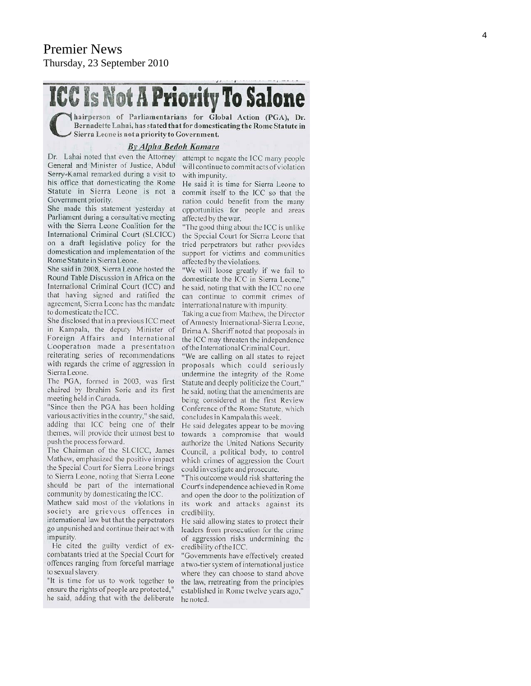# **ICC Is Not A Priority To Salone**

Inairperson of Parliamentarians for Global Action (PGA), Dr. Bernadette Lahai, has stated that for domesticating the Rome Statute in Sierra Leone is not a priority to Government.

#### **By Alpha Bedoh Kamara**

Dr. Lahai noted that even the Attorney attempt to negate the ICC many people General and Minister of Justice, Abdul Serry-Kamal remarked during a visit to his office that domesticating the Rome Statute in Sierra Leone is not a Government priority.

She made this statement yesterday at Parliament during a consultative meeting with the Sierra Leone Coalition for the International Criminal Court (SLCICC) on a draft legislative policy for the domestication and implementation of the Rome Statute in Sierra Leone.

She said in 2008, Sierra Leone hosted the Round Table Discussion in Africa on the International Criminal Court (ICC) and that having signed and ratified the agreement, Sierra Leone has the mandate to domesticate the ICC.

She disclosed that in a previous ICC meet in Kampala, the deputy Minister of Foreign Affairs and International Cooperation made a presentation reiterating series of recommendations with regards the crime of aggression in Sierra Leone.

The PGA, formed in 2003, was first chaired by Ibrahim Sorie and its first meeting held in Canada.

"Since then the PGA has been holding various activities in the country," she said, adding that ICC being one of their themes, will provide their utmost best to push the process forward.

The Chairman of the SLCICC, James Mathew, emphasized the positive impact the Special Court for Sierra Leone brings to Sierra Leone, noting that Sierra Leone should be part of the international community by domesticating the ICC.

Mathew said most of the violations in society are grievous offences in international law but that the perpetrators go unpunished and continue their act with impunity.

He cited the guilty verdict of excombatants tried at the Special Court for offences ranging from forceful marriage to sexual slavery.

"It is time for us to work together to ensure the rights of people are protected," he said, adding that with the deliberate

will continue to commit acts of violation with impunity.

He said it is time for Sierra Leone to commit itself to the ICC so that the nation could benefit from the many opportunities for people and areas affected by the war.

"The good thing about the ICC is unlike the Special Court for Sierra Leone that tried perpetrators but rather provides support for victims and communities affected by the violations.

"We will loose greatly if we fail to domesticate the ICC in Sierra Leone," he said, noting that with the ICC no one can continue to commit crimes of international nature with impunity.

Taking a cue from Mathew, the Director of Amnesty International-Sierra Leone, Brima A. Sheriff noted that proposals in the ICC may threaten the independence of the International Criminal Court.

"We are calling on all states to reject proposals which could seriously undermine the integrity of the Rome Statute and deeply politicize the Court," he said, noting that the amendments are being considered at the first Review Conference of the Rome Statute, which concludes in Kampala this week.

He said delegates appear to be moving towards a compromise that would authorize the United Nations Security Council, a political body, to control which crimes of aggression the Court could investigate and prosecute.

"This outcome would risk shattering the Court's independence achieved in Rome and open the door to the politization of its work and attacks against its credibility.

He said allowing states to protect their leaders from prosecution for the crime of aggression risks undermining the credibility of the ICC.

"Governments have effectively created a two-tier system of international justice where they can choose to stand above the law, rretreating from the principles established in Rome twelve years ago," he noted.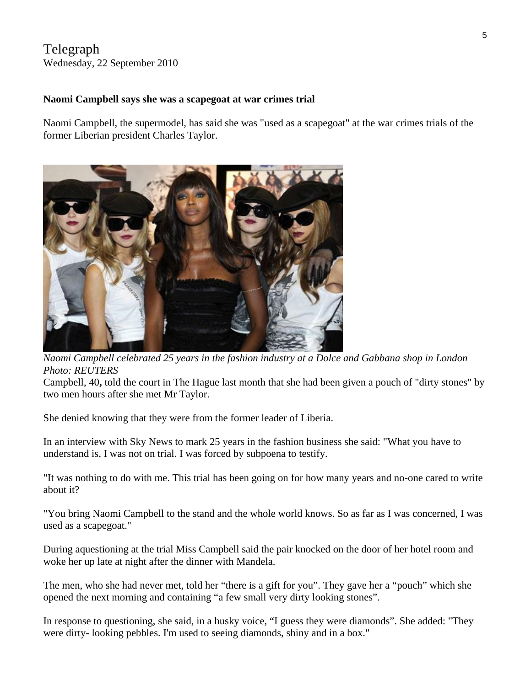#### Telegraph Wednesday, 22 September 2010

#### **Naomi Campbell says she was a scapegoat at war crimes trial**

Naomi Campbell, the supermodel, has said she was "used as a scapegoat" at the war crimes trials of the former Liberian president Charles Taylor.



*Naomi Campbell celebrated 25 years in the fashion industry at a Dolce and Gabbana shop in London Photo: REUTERS* 

Campbell, 40**,** [told the court in The Hague last month that she had been given a pouch of "dirty stones"](http://www.telegraph.co.uk/news/worldnews/africaandindianocean/liberia/7927637/Naomi-Campbell-tells-Charles-Taylors-war-crimes-tribunal-about-dirty-stones.html) by two men hours after she met Mr Taylor.

She denied knowing that they were from the former leader of Liberia.

In an interview with [Sky News](http://news.sky.com/skynews/Home/World-News/Naomi-Campbell-Model-Says-She-Was-Scapegoat-In-Blood-Diamond-Trial-Of-Liberia-Leader-Charles-Taylor/Article/201009415739225?f=rss) to mark 25 years in the fashion business she said: "What you have to understand is, I was not on trial. I was forced by subpoena to testify.

"It was nothing to do with me. This trial has been going on for how many years and no-one cared to write about it?

"You bring Naomi Campbell to the stand and the whole world knows. So as far as I was concerned, I was used as a scapegoat."

During aquestioning at the trial Miss Campbell said the pair knocked on the door of her hotel room and woke her up late at night after the dinner with Mandela.

The men, who she had never met, told her "there is a gift for you". They gave her a "pouch" which she opened the next morning and containing "a few small very dirty looking stones".

In response to questioning, she said, in a husky voice, "I guess they were diamonds". She added: "They were dirty- looking pebbles. I'm used to seeing diamonds, shiny and in a box."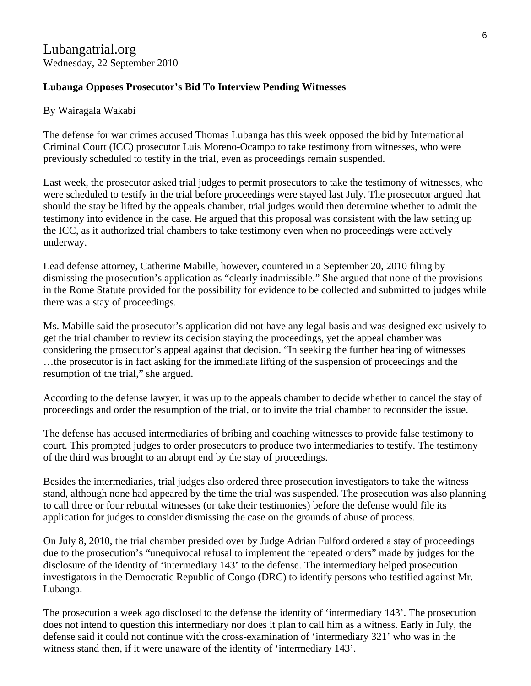#### **Lubanga Opposes Prosecutor's Bid To Interview Pending Witnesses**

By Wairagala Wakabi

The defense for war crimes accused Thomas Lubanga has this week opposed the bid by International Criminal Court (ICC) prosecutor Luis Moreno-Ocampo to take testimony from witnesses, who were previously scheduled to testify in the trial, even as proceedings remain suspended.

Last week, the prosecutor asked trial judges to permit prosecutors to take the testimony of witnesses, who were scheduled to testify in the trial before proceedings were stayed last July. The prosecutor argued that should the stay be lifted by the appeals chamber, trial judges would then determine whether to admit the testimony into evidence in the case. He argued that this proposal was consistent with the law setting up the ICC, as it authorized trial chambers to take testimony even when no proceedings were actively underway.

Lead defense attorney, Catherine Mabille, however, countered in a September 20, 2010 filing by dismissing the prosecution's application as "clearly inadmissible." She argued that none of the provisions in the Rome Statute provided for the possibility for evidence to be collected and submitted to judges while there was a stay of proceedings.

Ms. Mabille said the prosecutor's application did not have any legal basis and was designed exclusively to get the trial chamber to review its decision staying the proceedings, yet the appeal chamber was considering the prosecutor's appeal against that decision. "In seeking the further hearing of witnesses …the prosecutor is in fact asking for the immediate lifting of the suspension of proceedings and the resumption of the trial," she argued.

According to the defense lawyer, it was up to the appeals chamber to decide whether to cancel the stay of proceedings and order the resumption of the trial, or to invite the trial chamber to reconsider the issue.

The defense has accused intermediaries of bribing and coaching witnesses to provide false testimony to court. This prompted judges to order prosecutors to produce two intermediaries to testify. The testimony of the third was brought to an abrupt end by the stay of proceedings.

Besides the intermediaries, trial judges also ordered three prosecution investigators to take the witness stand, although none had appeared by the time the trial was suspended. The prosecution was also planning to call three or four rebuttal witnesses (or take their testimonies) before the defense would file its application for judges to consider dismissing the case on the grounds of abuse of process.

On July 8, 2010, the trial chamber presided over by Judge Adrian Fulford ordered a stay of proceedings due to the prosecution's "unequivocal refusal to implement the repeated orders" made by judges for the disclosure of the identity of 'intermediary 143' to the defense. The intermediary helped prosecution investigators in the Democratic Republic of Congo (DRC) to identify persons who testified against Mr. Lubanga.

The prosecution a week ago disclosed to the defense the identity of 'intermediary 143'. The prosecution does not intend to question this intermediary nor does it plan to call him as a witness. Early in July, the defense said it could not continue with the cross-examination of 'intermediary 321' who was in the witness stand then, if it were unaware of the identity of 'intermediary 143'.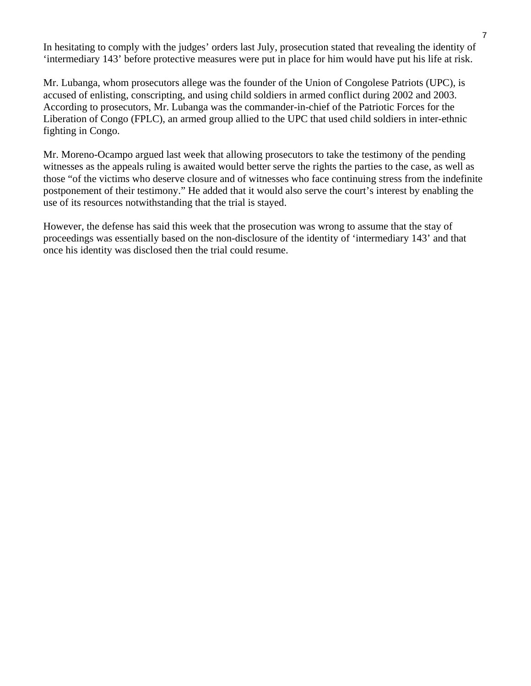In hesitating to comply with the judges' orders last July, prosecution stated that revealing the identity of 'intermediary 143' before protective measures were put in place for him would have put his life at risk.

Mr. Lubanga, whom prosecutors allege was the founder of the Union of Congolese Patriots (UPC), is accused of enlisting, conscripting, and using child soldiers in armed conflict during 2002 and 2003. According to prosecutors, Mr. Lubanga was the commander-in-chief of the Patriotic Forces for the Liberation of Congo (FPLC), an armed group allied to the UPC that used child soldiers in inter-ethnic fighting in Congo.

Mr. Moreno-Ocampo argued last week that allowing prosecutors to take the testimony of the pending witnesses as the appeals ruling is awaited would better serve the rights the parties to the case, as well as those "of the victims who deserve closure and of witnesses who face continuing stress from the indefinite postponement of their testimony." He added that it would also serve the court's interest by enabling the use of its resources notwithstanding that the trial is stayed.

However, the defense has said this week that the prosecution was wrong to assume that the stay of proceedings was essentially based on the non-disclosure of the identity of 'intermediary 143' and that once his identity was disclosed then the trial could resume.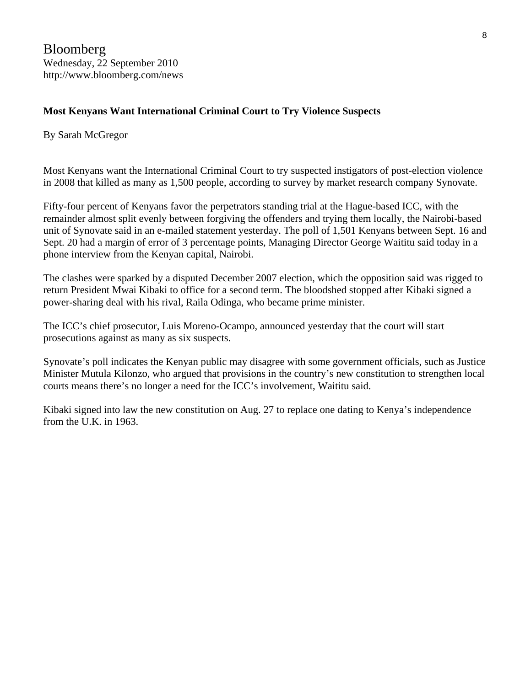#### **Most Kenyans Want International Criminal Court to Try Violence Suspects**

#### By Sarah McGregor

Most Kenyans want the International Criminal Court to try suspected instigators of post-election violence in 2008 that killed as many as 1,500 people, according to survey by market research company Synovate.

Fifty-four percent of Kenyans favor the perpetrators standing trial at the Hague-based ICC, with the remainder almost split evenly between forgiving the offenders and trying them locally, the Nairobi-based unit of Synovate said in an e-mailed statement yesterday. The poll of 1,501 Kenyans between Sept. 16 and Sept. 20 had a margin of error of 3 percentage points, Managing Director George Waititu said today in a phone interview from the Kenyan capital, Nairobi.

The clashes were sparked by a disputed December 2007 election, which the opposition said was rigged to return President Mwai Kibaki to office for a second term. The bloodshed stopped after Kibaki signed a power-sharing deal with his rival, Raila Odinga, who became prime minister.

The ICC's chief prosecutor, Luis Moreno-Ocampo, announced yesterday that the court will start prosecutions against as many as six suspects.

Synovate's poll indicates the Kenyan public may disagree with some government officials, such as Justice Minister Mutula Kilonzo, who argued that provisions in the country's new constitution to strengthen local courts means there's no longer a need for the ICC's involvement, Waititu said.

Kibaki signed into law the new constitution on Aug. 27 to replace one dating to Kenya's independence from the U.K. in 1963.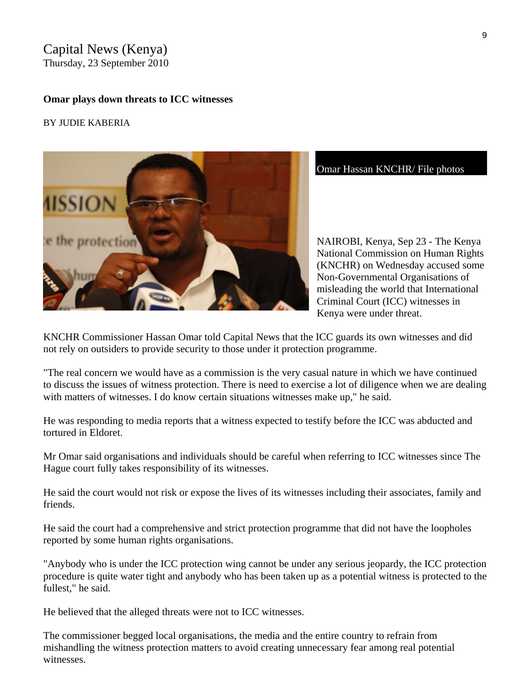#### Capital News (Kenya) Thursday, 23 September 2010

#### **Omar plays down threats to ICC witnesses**

#### BY JUDIE KABERIA



Omar Hassan KNCHR/ File photos

NAIROBI, Kenya, Sep 23 - The Kenya National Commission on Human Rights (KNCHR) on Wednesday accused some Non-Governmental Organisations of misleading the world that International Criminal Court (ICC) witnesses in Kenya were under threat.

KNCHR Commissioner Hassan Omar told Capital News that the ICC guards its own witnesses and did not rely on outsiders to provide security to those under it protection programme.

"The real concern we would have as a commission is the very casual nature in which we have continued to discuss the issues of witness protection. There is need to exercise a lot of diligence when we are dealing with matters of witnesses. I do know certain situations witnesses make up," he said.

He was responding to media reports that a witness expected to testify before the ICC was abducted and tortured in Eldoret.

Mr Omar said organisations and individuals should be careful when referring to ICC witnesses since The Hague court fully takes responsibility of its witnesses.

He said the court would not risk or expose the lives of its witnesses including their associates, family and friends.

He said the court had a comprehensive and strict protection programme that did not have the loopholes reported by some human rights organisations.

"Anybody who is under the ICC protection wing cannot be under any serious jeopardy, the ICC protection procedure is quite water tight and anybody who has been taken up as a potential witness is protected to the fullest," he said.

He believed that the alleged threats were not to ICC witnesses.

The commissioner begged local organisations, the media and the entire country to refrain from mishandling the witness protection matters to avoid creating unnecessary fear among real potential witnesses.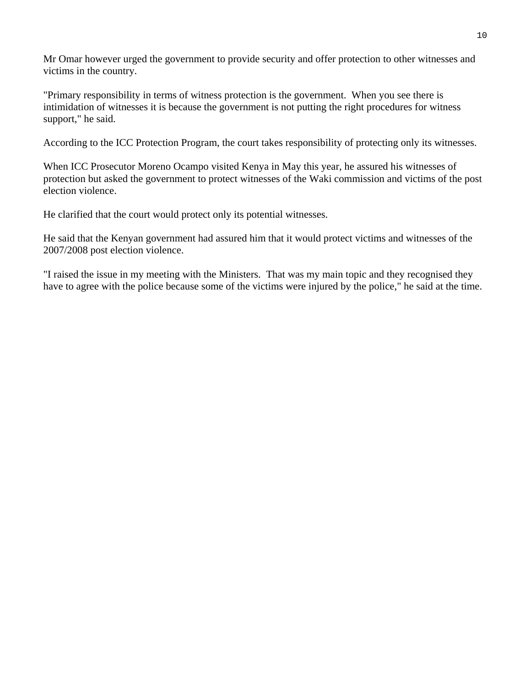Mr Omar however urged the government to provide security and offer protection to other witnesses and victims in the country.

"Primary responsibility in terms of witness protection is the government. When you see there is intimidation of witnesses it is because the government is not putting the right procedures for witness support," he said.

According to the ICC Protection Program, the court takes responsibility of protecting only its witnesses.

When ICC Prosecutor Moreno Ocampo visited Kenya in May this year, he assured his witnesses of protection but asked the government to protect witnesses of the Waki commission and victims of the post election violence.

He clarified that the court would protect only its potential witnesses.

He said that the Kenyan government had assured him that it would protect victims and witnesses of the 2007/2008 post election violence.

"I raised the issue in my meeting with the Ministers. That was my main topic and they recognised they have to agree with the police because some of the victims were injured by the police," he said at the time.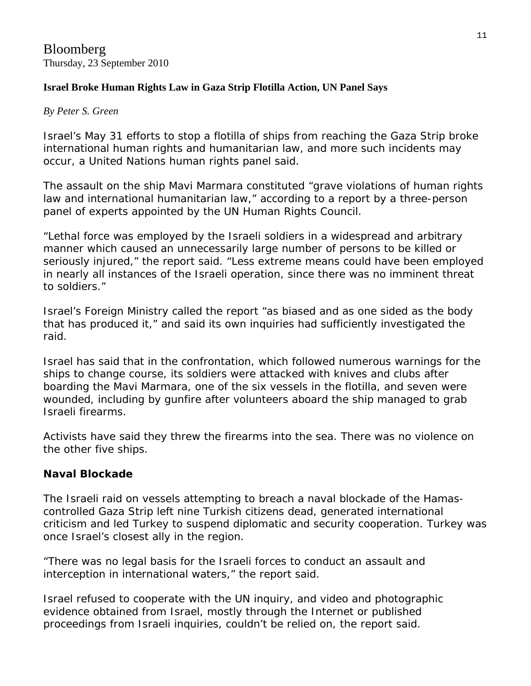#### **Israel Broke Human Rights Law in Gaza Strip Flotilla Action, UN Panel Says**

#### *By Peter S. Green*

Israel's May 31 efforts to stop a flotilla of ships from reaching the Gaza Strip broke international human rights and humanitarian law, and more such incidents may occur, a United Nations human rights panel said.

The assault on the ship Mavi Marmara constituted "grave violations of human rights law and international humanitarian law," according to a [report](http://www2.ohchr.org/english/bodies/hrcouncil/docs/15session/A.HRC.15.21_en.pdf) by a three-person panel of experts appointed by the UN Human Rights Council.

"Lethal force was employed by the Israeli soldiers in a widespread and arbitrary manner which caused an unnecessarily large number of persons to be killed or seriously injured," the report said. "Less extreme means could have been employed in nearly all instances of the Israeli operation, since there was no imminent threat to soldiers."

Israel's Foreign Ministry called the report "as biased and as one sided as the body that has produced it," and said its own inquiries had sufficiently investigated the raid.

Israel has said that in the confrontation, which followed numerous warnings for the ships to change course, its soldiers were attacked with knives and clubs after boarding the Mavi Marmara, one of the six vessels in the flotilla, and seven were wounded, including by gunfire after volunteers aboard the ship managed to grab Israeli firearms.

Activists have said they threw the firearms into the sea. There was no violence on the other five ships.

#### **Naval Blockade**

The Israeli raid on vessels attempting to breach a naval blockade of the Hamascontrolled Gaza Strip left nine Turkish citizens dead, generated international criticism and led Turkey to suspend diplomatic and security cooperation. Turkey was once Israel's closest ally in the region.

"There was no legal basis for the Israeli forces to conduct an assault and interception in international waters," the report said.

Israel refused to cooperate with the UN inquiry, and video and photographic evidence obtained from Israel, mostly through the Internet or published proceedings from Israeli inquiries, couldn't be relied on, the report said.